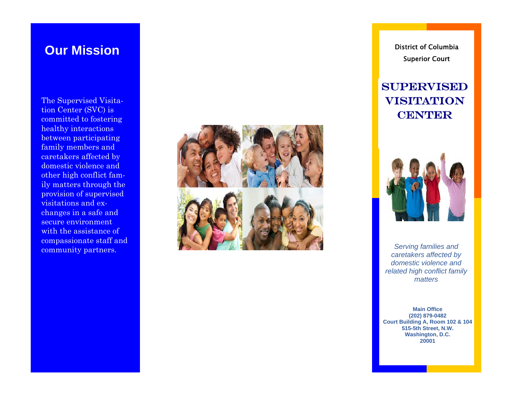The Supervised Visitation Center (SVC) is committed to fostering healthy interactions between participating family members and caretakers affected by domestic violence and other high conflict family matters through the provision of supervised visitations and exchanges in a safe and secure environment with the assistance of compassionate staff and community partners.



**Our Mission and Service Columbia District of Columbia** Superior Court

## **SUPERVISED** Visitation **CENTER**



*Serving families and caretakers affected by domestic violence and related high conflict family matters*

**Main Office (202) 879-0482 Court Building A, Room 102 & 104 515-5th Street, N.W. Washington, D.C. 20001**